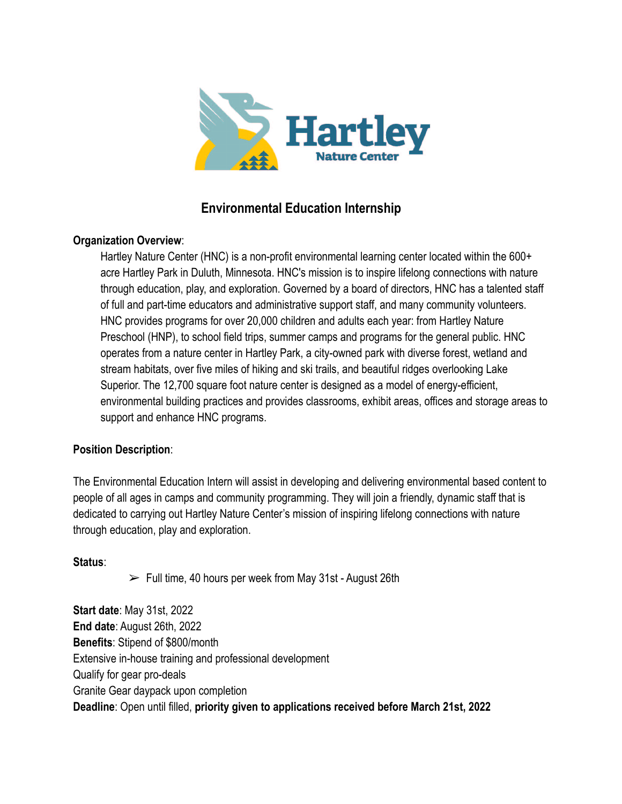

# **Environmental Education Internship**

### **Organization Overview**:

Hartley Nature Center (HNC) is a non-profit environmental learning center located within the 600+ acre Hartley Park in Duluth, Minnesota. HNC's mission is to inspire lifelong connections with nature through education, play, and exploration. Governed by a board of directors, HNC has a talented staff of full and part-time educators and administrative support staff, and many community volunteers. HNC provides programs for over 20,000 children and adults each year: from Hartley Nature Preschool (HNP), to school field trips, summer camps and programs for the general public. HNC operates from a nature center in Hartley Park, a city-owned park with diverse forest, wetland and stream habitats, over five miles of hiking and ski trails, and beautiful ridges overlooking Lake Superior. The 12,700 square foot nature center is designed as a model of energy-efficient, environmental building practices and provides classrooms, exhibit areas, offices and storage areas to support and enhance HNC programs.

## **Position Description**:

The Environmental Education Intern will assist in developing and delivering environmental based content to people of all ages in camps and community programming. They will join a friendly, dynamic staff that is dedicated to carrying out Hartley Nature Center's mission of inspiring lifelong connections with nature through education, play and exploration.

#### **Status**:

 $\triangleright$  Full time, 40 hours per week from May 31st - August 26th

**Start date**: May 31st, 2022 **End date**: August 26th, 2022 **Benefits**: Stipend of \$800/month Extensive in-house training and professional development Qualify for gear pro-deals Granite Gear daypack upon completion **Deadline**: Open until filled, **priority given to applications received before March 21st, 2022**